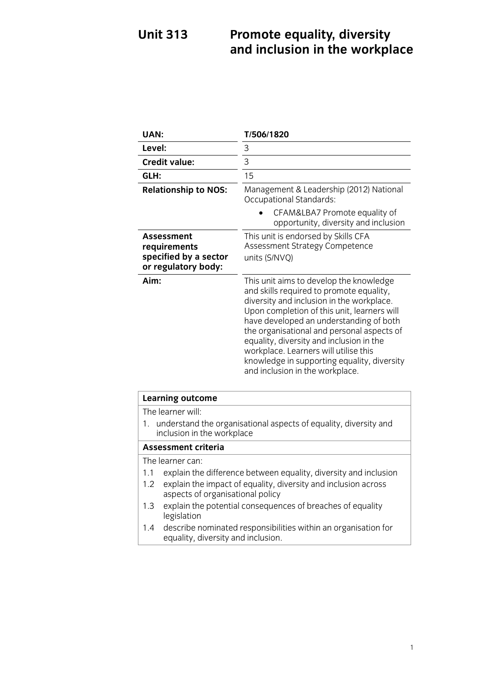### **Unit 313 EXECUTE:** 213 **Propose extending to all 133 Propose to all 133 Propose to all 133 Propose to all 133 Propose to all 133 Propose to all 133 Propose to all 133 Propose to 23 Propose to 23 Propose to 23 P and inclusion in the workplace**

| UAN:                                                                              | T/506/1820                                                                                                                                                                                                                                                                                                                                                                                                                                      |
|-----------------------------------------------------------------------------------|-------------------------------------------------------------------------------------------------------------------------------------------------------------------------------------------------------------------------------------------------------------------------------------------------------------------------------------------------------------------------------------------------------------------------------------------------|
| Level:                                                                            | 3                                                                                                                                                                                                                                                                                                                                                                                                                                               |
| <b>Credit value:</b>                                                              | 3                                                                                                                                                                                                                                                                                                                                                                                                                                               |
| GLH:                                                                              | 15                                                                                                                                                                                                                                                                                                                                                                                                                                              |
| <b>Relationship to NOS:</b>                                                       | Management & Leadership (2012) National<br>Occupational Standards:                                                                                                                                                                                                                                                                                                                                                                              |
|                                                                                   | CFAM&LBA7 Promote equality of<br>opportunity, diversity and inclusion                                                                                                                                                                                                                                                                                                                                                                           |
| <b>Assessment</b><br>requirements<br>specified by a sector<br>or regulatory body: | This unit is endorsed by Skills CFA<br>Assessment Strategy Competence<br>units (S/NVQ)                                                                                                                                                                                                                                                                                                                                                          |
| Aim:                                                                              | This unit aims to develop the knowledge<br>and skills required to promote equality,<br>diversity and inclusion in the workplace.<br>Upon completion of this unit, learners will<br>have developed an understanding of both<br>the organisational and personal aspects of<br>equality, diversity and inclusion in the<br>workplace. Learners will utilise this<br>knowledge in supporting equality, diversity<br>and inclusion in the workplace. |
| <b>Learning outcome</b>                                                           |                                                                                                                                                                                                                                                                                                                                                                                                                                                 |
| The learner will:<br>1.<br>inclusion in the workplace                             | understand the organisational aspects of equality, diversity and                                                                                                                                                                                                                                                                                                                                                                                |
| <b>Assessment criteria</b>                                                        |                                                                                                                                                                                                                                                                                                                                                                                                                                                 |

The learner can:

- 1.1 explain the difference between equality, diversity and inclusion
- 1.2 explain the impact of equality, diversity and inclusion across aspects of organisational policy
- $\frac{1}{2}$  and  $\frac{1}{2}$  or  $\frac{1}{2}$  $1.3$  explain the potential consequences of  $\frac{1}{2}$  explaining  $\frac{1}{2}$ legislation<br>describe nominated responsibilities within an organisation for
- 1.4 describe non-temperature responsibility diversity and inclusion equality, diversity and inclusion.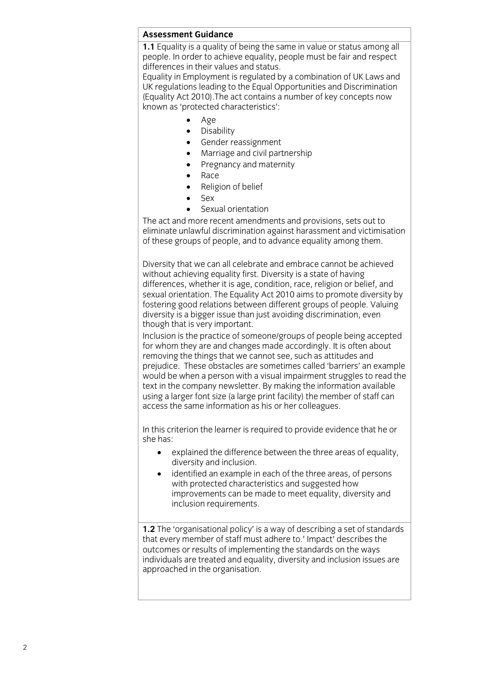#### **Assessment Guidance**

**1.1** Equality is a quality of being the same in value or status among all people. In order to achieve equality, people must be fair and respect differences in their values and status.

Equality in Employment is regulated by a combination of UK Laws and UK regulations leading to the Equal Opportunities and Discrimination (Equality Act 2010). The act contains a number of key concepts now known as 'protected characteristics':  $k$ nown as 'protected characteristics':

- Age<br>• Disa
- Disability<br>• Gender re
- Gender reassignment<br>• Marriage and civil part
- Marriage and civil partnership<br>• Pregnancy and maternity
- Pregnancy and maternity<br>• Race
- Race<br>• Relio
- Religion of belief<br>• Sex
- $-$  Sex
- 

• Sexual orientation<br>The act and more recent amendments and provisions, sets out to eliminate unlawful discrimination against harassment and victimisation of these groups of people, and to advance equality among them. of these groups of people, and to advance equality among them.

Diversity that we can all celebrate and embrace cannot be achieved without achieving equality first. Diversity is a state of having differences, whether it is age, condition, race, religion or belief, and sexual orientation. The Equality Act 2010 aims to promote diversity by fostering good relations between different groups of people. Valuing diversity is a bigger issue than just avoiding discrimination, even though that is very important.

Inclusion is the practice of someone/groups of people being accepted for whom they are and changes made accordingly. It is often about removing the things that we cannot see, such as attitudes and prejudice. These obstacles are sometimes called 'barriers' an example would be when a person with a visual impairment struggles to read the text in the company newsletter. By making the information available using a larger font size (a large print facility) the member of staff can  $\frac{1}{2}$  access the same information as his or her colleagues.  $\overline{a}$ 

In this criterion the learner is required to provide evidence that he or she has:

- she has: explained the difference between the three areas of equality,
	- $\bullet$  identified an example in each of the three areas, of persons with protected characteristics and supposted how with protected characteristics and suggested how<br>improvements can be made to meet equality, diversity and inclusion requirements. inclusion requirements.

**1.2** The 'organisational policy' is a way of describing a set of standards that every member of staff must adhere to.' Impact' describes the outcomes or results of implementing the standards on the ways individuals are treated and equality, diversity and inclusion issues are approached in the organisation. approached in the organisation.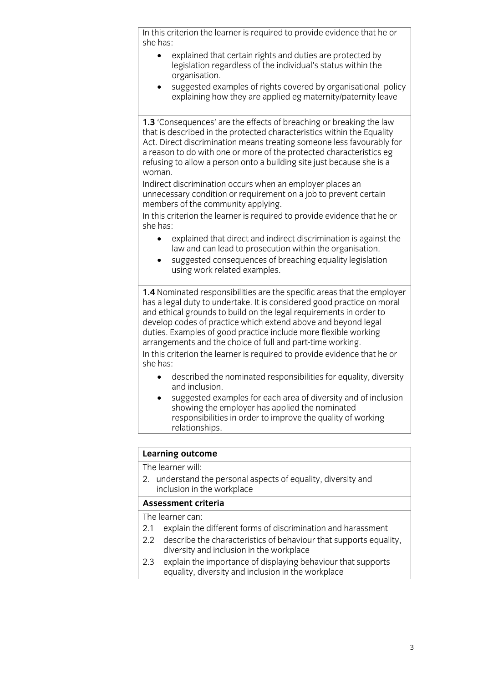In this criterion the learner is required to provide evidence that he or she has:

- $\ddot{\phantom{1}}$  explained that certain rights and duties are protected by organisation.
	- suggested examples of rights covered by organisational policy suggested examples of rights covered by organisational policy explaining how the specific equation of  $\mathcal{L}$

1.3 'Consequences' are the effects of breaching or breaking the law that is described in the protected characteristics within the Equality Act. Direct discrimination means treating someone less favourably for a reason to do with one or more of the protected characteristics eg refusing to allow a person onto a building site just because she is a woman.

Indirect discrimination occurs when an employer places an unnecessary condition or requirement on a job to prevent certain members of the community applying.

In this criterion the learner is required to provide evidence that he or she has:

- she has: explained that direct and indirect discrimination is against the
	- suggested consequences of breaching equality legislation.<br>using work related examples using work related examples.

**1.4** Nominated responsibilities are the specific areas that the employer has a legal duty to undertake. It is considered good practice on moral and ethical grounds to build on the legal requirements in order to develop codes of practice which extend above and beyond legal duties. Examples of good practice include more flexible working arrangements and the choice of full and part-time working.

In this criterion the learner is required to provide evidence that he or  $\mathsf{S}$  he has:  $\mathsf{S}$  required to provide evidence that he original to provide evidence that he original to provide evidence that he original to provide evidence that he original to provide evidence that he original t

- $\bullet$ : described the nominated responsibilities for equality, diversity
- suggested examples for each area of diversity and of inclusion<br>showing the employer has annlied the nominated showing the employer has applied the nominated<br>responsibilities in order to improve the quality of working relationships. relationships.

# **Learning outcome**<br>The learner will:

2. understand the personal aspects of equality, diversity and inclusion in the workplace

#### Assessment criteria

The learner can:

- 2.1 explain the different forms of discrimination and harassment
- 2.2 describe the characteristics of behaviour that supports equality. diversity and inclusion in the workplace
- $2.3$ explain the importance of displaying behaviour that supports equality, diversity and inclusion in the workplace  $\frac{d}{dx}$  equality and including in the workplace in the workplace in the workplace in the workplace in the workplace in the workplace in the workplace in the workplace in the workplace in the workplace in the workplace i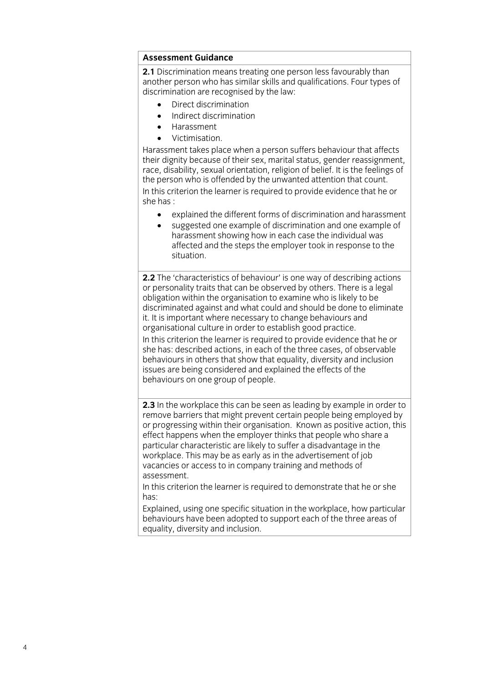#### **Assessment Guidance**

2.1 Discrimination means treating one person less favourably than another person who has similar skills and qualifications. Four types of discrimination are recognised by the law:

- $\bullet$  Direct discrimination<br>  $\bullet$  Indirect discrimination
	- Indirect discrimination
	- Harassment<br>Victimisation.
	-

Harassment takes place when a person suffers behaviour that affects their dignity because of their sex, marital status, gender reassignment, race, disability, sexual orientation, religion of belief. It is the feelings of the person who is offended by the unwanted attention that count. In this criterion the learner is required to provide evidence that he or she has :

- $\bullet$ • explained the different forms of discrimination and harassment<br>• suggested one example of discrimination and one example of
- suggested one example of discrimination and one example of harassment showing how in each case the individual was affected and the steps the employer took in response to the situation.

**2.2** The 'characteristics of behaviour' is one way of describing actions or personality traits that can be observed by others. There is a legal obligation within the organisation to examine who is likely to be discriminated against and what could and should be done to eliminate it. It is important where necessary to change behaviours and organisational culture in order to establish good practice. In this criterion the learner is required to provide evidence that he or she has: described actions, in each of the three cases, of observable behaviours in others that show that equality, diversity and inclusion issues are being considered and explained the effects of the behaviours on one group of people. behaviours on one group of people.

**2.3** In the workplace this can be seen as leading by example in order to remove barriers that might prevent certain people being employed by or progressing within their organisation. Known as positive action, this effect happens when the employer thinks that people who share a particular characteristic are likely to suffer a disadvantage in the workplace. This may be as early as in the advertisement of iob vacancies or access to in company training and methods of assessment.

In this criterion the learner is required to demonstrate that he or she  $has$ 

Explained, using one specific situation in the workplace, how particular behaviours have been adopted to support each of the three areas of equality, diversity and inclusion. equality, diversity and inclusion.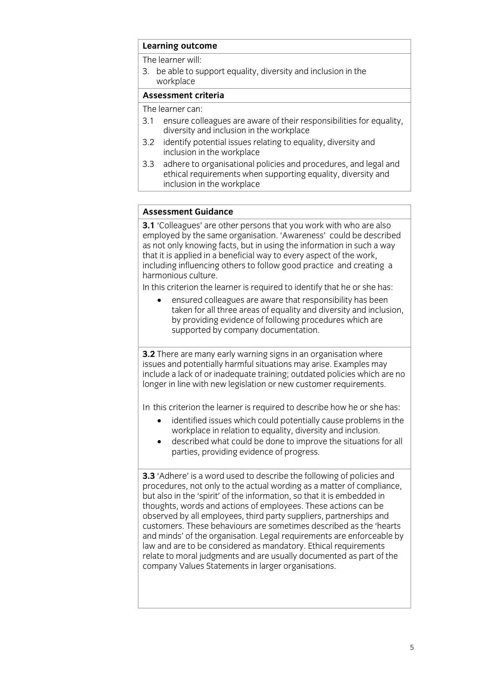## **Learning outcome**<br>The learner will:

3. be able to support equality, diversity and inclusion in the workplace

#### Assessment criteria

The learner can:

- 3.1 ensure colleagues are aware of their responsibilities for equality. diversity and inclusion in the workplace
- $3.2$ identify potential issues relating to equality, diversity and inclusion in the workplace
- $3.3$ adhere to organisational policies and procedures, and legal and ethical requirements when supporting equality, diversity and inclusion in the workplace inclusion in the work place of the work place of the work place of the work place of the work place of the wor<br>In the work place of the work place of the work place of the work place of the work place of the work place of

#### **Assessment Guidance**

**3.1** 'Colleagues' are other persons that you work with who are also employed by the same organisation. 'Awareness' could be described as not only knowing facts, but in using the information in such a way that it is applied in a beneficial way to every aspect of the work, including influencing others to follow good practice and creating a harmonious culture.

In this criterion the learner is required to identify that he or she has:

ensured colleagues are aware that responsibility has been taken for all three areas of equality and diversity and inclusion, by providing evidence of following procedures which are  $\frac{1}{2}$  provided by company documentation.  $\mathbf{S}$  supported by company documentation.

**3.2** There are many early warning signs in an organisation where issues and potentially harmful situations may arise. Examples may include a lack of or inadequate training; outdated policies which are no longer in line with new legislation or new customer requirements. longer in line with new legislation or new customer requirements.

- identified issues which could potentially cause problems in the workplace in relation to equality diversity and inclusion
	- $\bullet$  described what could be done to improve the situations for all narties providing evidence of progress parties, providing evidence of progress*.*

**3.3** 'Adhere' is a word used to describe the following of policies and procedures, not only to the actual wording as a matter of compliance, but also in the 'spirit' of the information, so that it is embedded in thoughts, words and actions of employees. These actions can be observed by all employees, third party suppliers, partnerships and customers. These behaviours are sometimes described as the 'hearts' and minds' of the organisation. Legal requirements are enforceable by law and are to be considered as mandatory. Ethical requirements relate to moral judgments and are usually documented as part of the company Values Statements in larger organisations. company values of larger organisations.